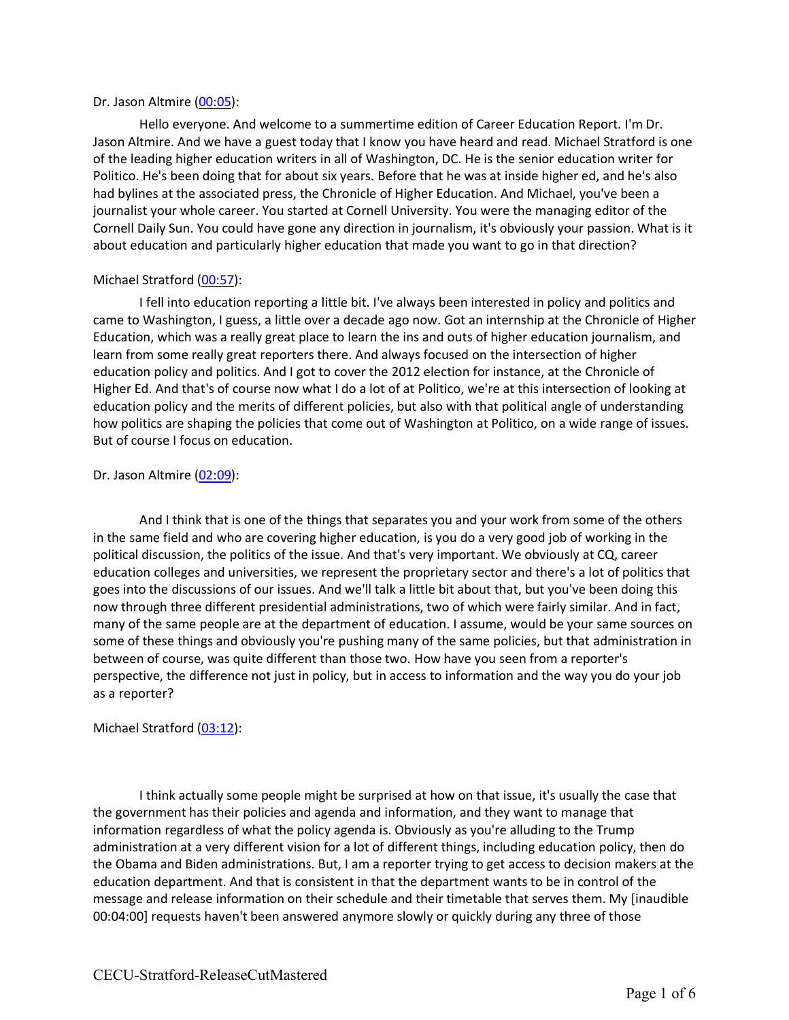#### Dr. Jason Altmire (00:05):

Hello everyone. And welcome to a summertime edition of Career Education Report. I'm Dr. Jason Altmire. And we have a guest today that I know you have heard and read. Michael Stratford is one of the leading higher education writers in all of Washington, DC. He is the senior education writer for Politico. He's been doing that for about six years. Before that he was at inside higher ed, and he's also had bylines at the associated press, the Chronicle of Higher Education. And Michael, you've been a journalist your whole career. You started at Cornell University. You were the managing editor of the Cornell Daily Sun. You could have gone any direction in journalism, it's obviously your passion. What is it about education and particularly higher education that made you want to go in that direction?

### Michael Stratford (00:57):

I fell into education reporting a little bit. I've always been interested in policy and politics and came to Washington, I guess, a little over a decade ago now. Got an internship at the Chronicle of Higher Education, which was a really great place to learn the ins and outs of higher education journalism, and learn from some really great reporters there. And always focused on the intersection of higher education policy and politics. And I got to cover the 2012 election for instance, at the Chronicle of Higher Ed. And that's of course now what I do a lot of at Politico, we're at this intersection of looking at education policy and the merits of different policies, but also with that political angle of understanding how politics are shaping the policies that come out of Washington at Politico, on a wide range of issues. But of course I focus on education.

#### Dr. Jason Altmire (02:09):

And I think that is one of the things that separates you and your work from some of the others in the same field and who are covering higher education, is you do a very good job of working in the political discussion, the politics of the issue. And that's very important. We obviously at CQ, career education colleges and universities, we represent the proprietary sector and there's a lot of politics that goes into the discussions of our issues. And we'll talk a little bit about that, but you've been doing this now through three different presidential administrations, two of which were fairly similar. And in fact, many of the same people are at the department of education. I assume, would be your same sources on some of these things and obviously you're pushing many of the same policies, but that administration in between of course, was quite different than those two. How have you seen from a reporter's perspective, the difference not just in policy, but in access to information and the way you do your job as a reporter?

#### Michael Stratford (03:12):

I think actually some people might be surprised at how on that issue, it's usually the case that the government has their policies and agenda and information, and they want to manage that information regardless of what the policy agenda is. Obviously as you're alluding to the Trump administration at a very different vision for a lot of different things, including education policy, then do the Obama and Biden administrations. But, I am a reporter trying to get access to decision makers at the education department. And that is consistent in that the department wants to be in control of the message and release information on their schedule and their timetable that serves them. My [inaudible 00:04:00] requests haven't been answered anymore slowly or quickly during any three of those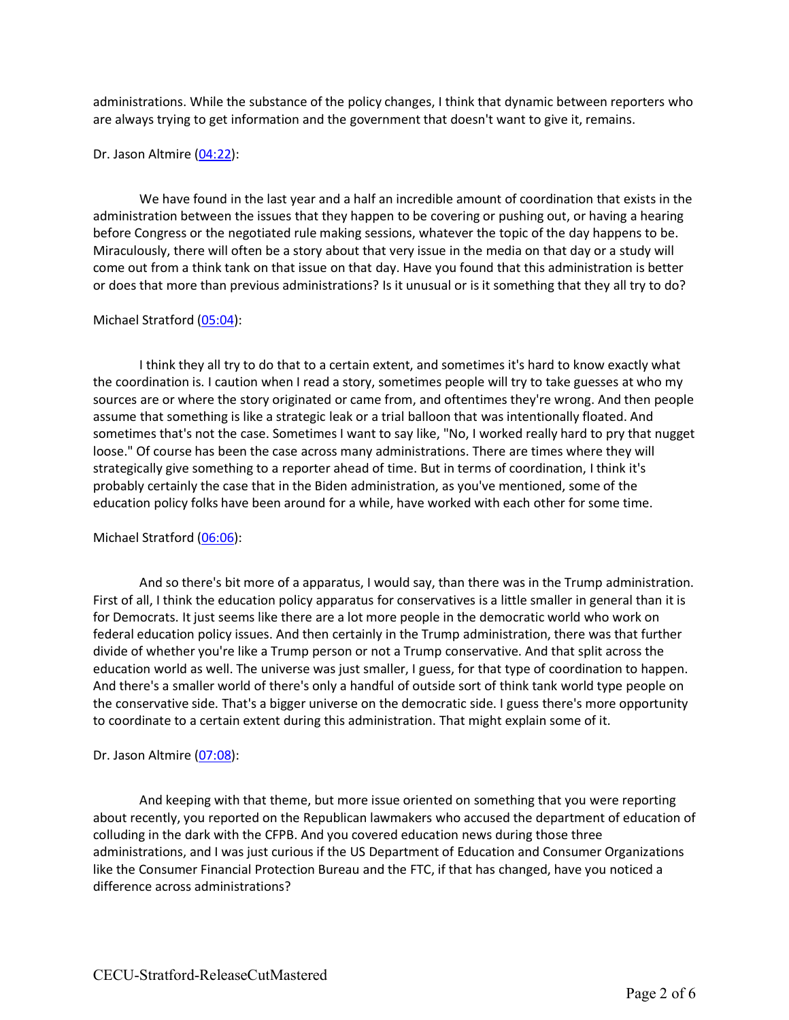administrations. While the substance of the policy changes, I think that dynamic between reporters who are always trying to get information and the government that doesn't want to give it, remains.

### Dr. Jason Altmire (04:22):

We have found in the last year and a half an incredible amount of coordination that exists in the administration between the issues that they happen to be covering or pushing out, or having a hearing before Congress or the negotiated rule making sessions, whatever the topic of the day happens to be. Miraculously, there will often be a story about that very issue in the media on that day or a study will come out from a think tank on that issue on that day. Have you found that this administration is better or does that more than previous administrations? Is it unusual or is it something that they all try to do?

### Michael Stratford (05:04):

I think they all try to do that to a certain extent, and sometimes it's hard to know exactly what the coordination is. I caution when I read a story, sometimes people will try to take guesses at who my sources are or where the story originated or came from, and oftentimes they're wrong. And then people assume that something is like a strategic leak or a trial balloon that was intentionally floated. And sometimes that's not the case. Sometimes I want to say like, "No, I worked really hard to pry that nugget loose." Of course has been the case across many administrations. There are times where they will strategically give something to a reporter ahead of time. But in terms of coordination, I think it's probably certainly the case that in the Biden administration, as you've mentioned, some of the education policy folks have been around for a while, have worked with each other for some time.

# Michael Stratford (06:06):

And so there's bit more of a apparatus, I would say, than there was in the Trump administration. First of all, I think the education policy apparatus for conservatives is a little smaller in general than it is for Democrats. It just seems like there are a lot more people in the democratic world who work on federal education policy issues. And then certainly in the Trump administration, there was that further divide of whether you're like a Trump person or not a Trump conservative. And that split across the education world as well. The universe was just smaller, I guess, for that type of coordination to happen. And there's a smaller world of there's only a handful of outside sort of think tank world type people on the conservative side. That's a bigger universe on the democratic side. I guess there's more opportunity to coordinate to a certain extent during this administration. That might explain some of it.

# Dr. Jason Altmire (07:08):

And keeping with that theme, but more issue oriented on something that you were reporting about recently, you reported on the Republican lawmakers who accused the department of education of colluding in the dark with the CFPB. And you covered education news during those three administrations, and I was just curious if the US Department of Education and Consumer Organizations like the Consumer Financial Protection Bureau and the FTC, if that has changed, have you noticed a difference across administrations?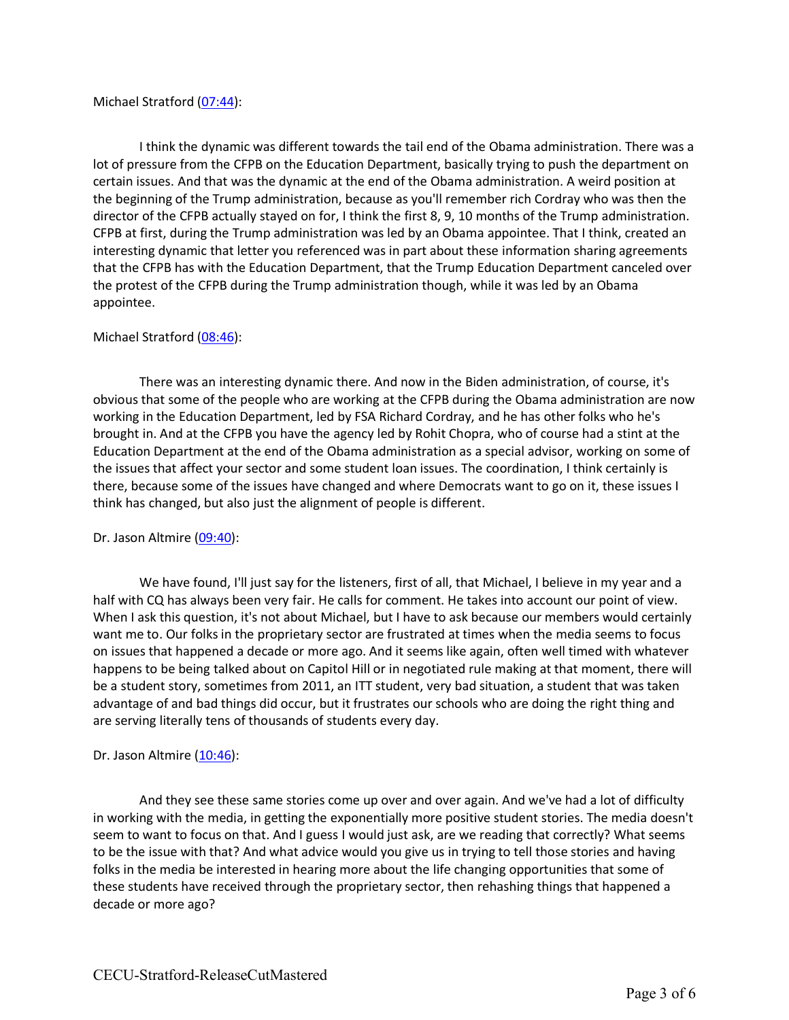### Michael Stratford (07:44):

I think the dynamic was different towards the tail end of the Obama administration. There was a lot of pressure from the CFPB on the Education Department, basically trying to push the department on certain issues. And that was the dynamic at the end of the Obama administration. A weird position at the beginning of the Trump administration, because as you'll remember rich Cordray who was then the director of the CFPB actually stayed on for, I think the first 8, 9, 10 months of the Trump administration. CFPB at first, during the Trump administration was led by an Obama appointee. That I think, created an interesting dynamic that letter you referenced was in part about these information sharing agreements that the CFPB has with the Education Department, that the Trump Education Department canceled over the protest of the CFPB during the Trump administration though, while it was led by an Obama appointee.

### Michael Stratford (08:46):

There was an interesting dynamic there. And now in the Biden administration, of course, it's obvious that some of the people who are working at the CFPB during the Obama administration are now working in the Education Department, led by FSA Richard Cordray, and he has other folks who he's brought in. And at the CFPB you have the agency led by Rohit Chopra, who of course had a stint at the Education Department at the end of the Obama administration as a special advisor, working on some of the issues that affect your sector and some student loan issues. The coordination, I think certainly is there, because some of the issues have changed and where Democrats want to go on it, these issues I think has changed, but also just the alignment of people is different.

#### Dr. Jason Altmire (09:40):

We have found, I'll just say for the listeners, first of all, that Michael, I believe in my year and a half with CQ has always been very fair. He calls for comment. He takes into account our point of view. When I ask this question, it's not about Michael, but I have to ask because our members would certainly want me to. Our folks in the proprietary sector are frustrated at times when the media seems to focus on issues that happened a decade or more ago. And it seems like again, often well timed with whatever happens to be being talked about on Capitol Hill or in negotiated rule making at that moment, there will be a student story, sometimes from 2011, an ITT student, very bad situation, a student that was taken advantage of and bad things did occur, but it frustrates our schools who are doing the right thing and are serving literally tens of thousands of students every day.

#### Dr. Jason Altmire (10:46):

And they see these same stories come up over and over again. And we've had a lot of difficulty in working with the media, in getting the exponentially more positive student stories. The media doesn't seem to want to focus on that. And I guess I would just ask, are we reading that correctly? What seems to be the issue with that? And what advice would you give us in trying to tell those stories and having folks in the media be interested in hearing more about the life changing opportunities that some of these students have received through the proprietary sector, then rehashing things that happened a decade or more ago?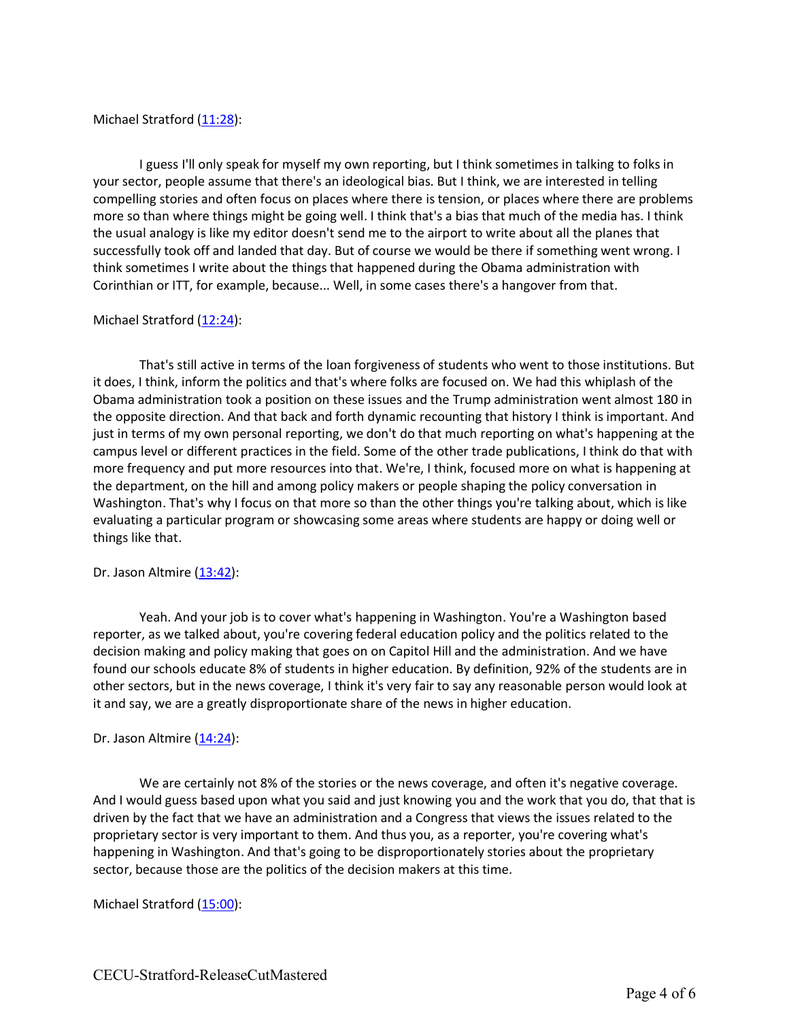## Michael Stratford (11:28):

I guess I'll only speak for myself my own reporting, but I think sometimes in talking to folks in your sector, people assume that there's an ideological bias. But I think, we are interested in telling compelling stories and often focus on places where there is tension, or places where there are problems more so than where things might be going well. I think that's a bias that much of the media has. I think the usual analogy is like my editor doesn't send me to the airport to write about all the planes that successfully took off and landed that day. But of course we would be there if something went wrong. I think sometimes I write about the things that happened during the Obama administration with Corinthian or ITT, for example, because... Well, in some cases there's a hangover from that.

### Michael Stratford (12:24):

That's still active in terms of the loan forgiveness of students who went to those institutions. But it does, I think, inform the politics and that's where folks are focused on. We had this whiplash of the Obama administration took a position on these issues and the Trump administration went almost 180 in the opposite direction. And that back and forth dynamic recounting that history I think is important. And just in terms of my own personal reporting, we don't do that much reporting on what's happening at the campus level or different practices in the field. Some of the other trade publications, I think do that with more frequency and put more resources into that. We're, I think, focused more on what is happening at the department, on the hill and among policy makers or people shaping the policy conversation in Washington. That's why I focus on that more so than the other things you're talking about, which is like evaluating a particular program or showcasing some areas where students are happy or doing well or things like that.

#### Dr. Jason Altmire (13:42):

Yeah. And your job is to cover what's happening in Washington. You're a Washington based reporter, as we talked about, you're covering federal education policy and the politics related to the decision making and policy making that goes on on Capitol Hill and the administration. And we have found our schools educate 8% of students in higher education. By definition, 92% of the students are in other sectors, but in the news coverage, I think it's very fair to say any reasonable person would look at it and say, we are a greatly disproportionate share of the news in higher education.

#### Dr. Jason Altmire (14:24):

We are certainly not 8% of the stories or the news coverage, and often it's negative coverage. And I would guess based upon what you said and just knowing you and the work that you do, that that is driven by the fact that we have an administration and a Congress that views the issues related to the proprietary sector is very important to them. And thus you, as a reporter, you're covering what's happening in Washington. And that's going to be disproportionately stories about the proprietary sector, because those are the politics of the decision makers at this time.

# Michael Stratford (15:00):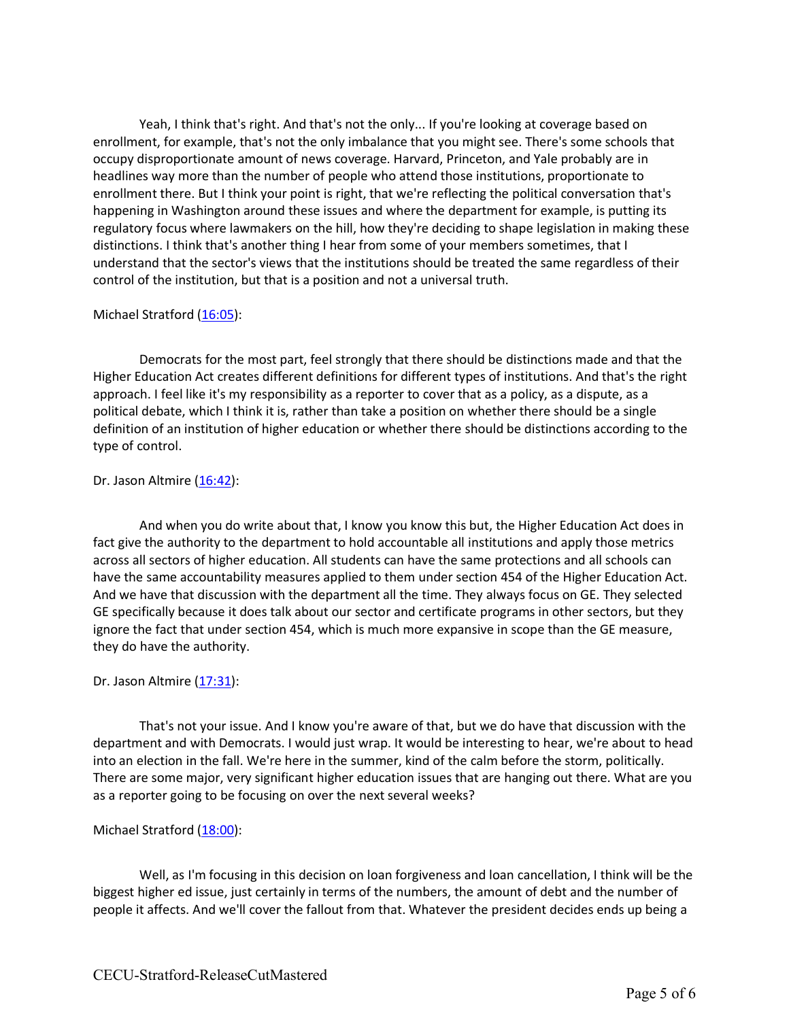Yeah, I think that's right. And that's not the only... If you're looking at coverage based on enrollment, for example, that's not the only imbalance that you might see. There's some schools that occupy disproportionate amount of news coverage. Harvard, Princeton, and Yale probably are in headlines way more than the number of people who attend those institutions, proportionate to enrollment there. But I think your point is right, that we're reflecting the political conversation that's happening in Washington around these issues and where the department for example, is putting its regulatory focus where lawmakers on the hill, how they're deciding to shape legislation in making these distinctions. I think that's another thing I hear from some of your members sometimes, that I understand that the sector's views that the institutions should be treated the same regardless of their control of the institution, but that is a position and not a universal truth.

# Michael Stratford (16:05):

Democrats for the most part, feel strongly that there should be distinctions made and that the Higher Education Act creates different definitions for different types of institutions. And that's the right approach. I feel like it's my responsibility as a reporter to cover that as a policy, as a dispute, as a political debate, which I think it is, rather than take a position on whether there should be a single definition of an institution of higher education or whether there should be distinctions according to the type of control.

# Dr. Jason Altmire (16:42):

And when you do write about that, I know you know this but, the Higher Education Act does in fact give the authority to the department to hold accountable all institutions and apply those metrics across all sectors of higher education. All students can have the same protections and all schools can have the same accountability measures applied to them under section 454 of the Higher Education Act. And we have that discussion with the department all the time. They always focus on GE. They selected GE specifically because it does talk about our sector and certificate programs in other sectors, but they ignore the fact that under section 454, which is much more expansive in scope than the GE measure, they do have the authority.

# Dr. Jason Altmire (17:31):

That's not your issue. And I know you're aware of that, but we do have that discussion with the department and with Democrats. I would just wrap. It would be interesting to hear, we're about to head into an election in the fall. We're here in the summer, kind of the calm before the storm, politically. There are some major, very significant higher education issues that are hanging out there. What are you as a reporter going to be focusing on over the next several weeks?

# Michael Stratford (18:00):

Well, as I'm focusing in this decision on loan forgiveness and loan cancellation, I think will be the biggest higher ed issue, just certainly in terms of the numbers, the amount of debt and the number of people it affects. And we'll cover the fallout from that. Whatever the president decides ends up being a